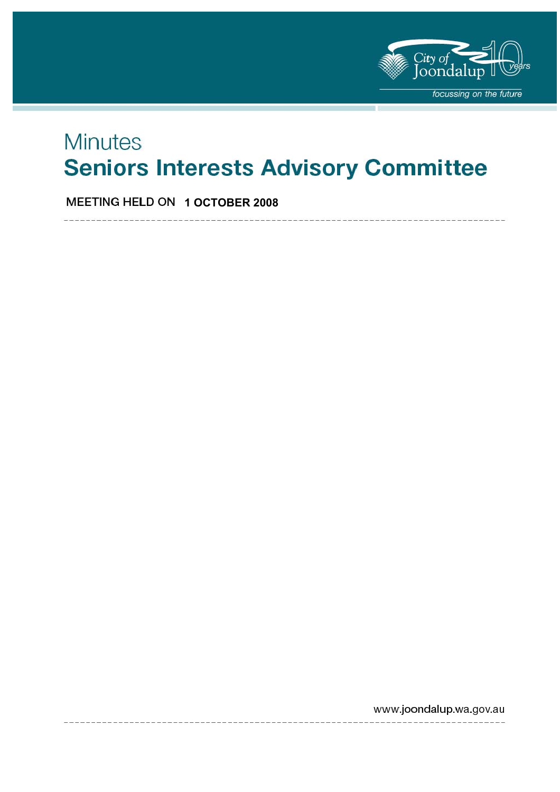

# **Minutes Seniors Interests Advisory Committee**

**MEETING HELD ON 1 OCTOBER 2008** 

www.joondalup.wa.gov.au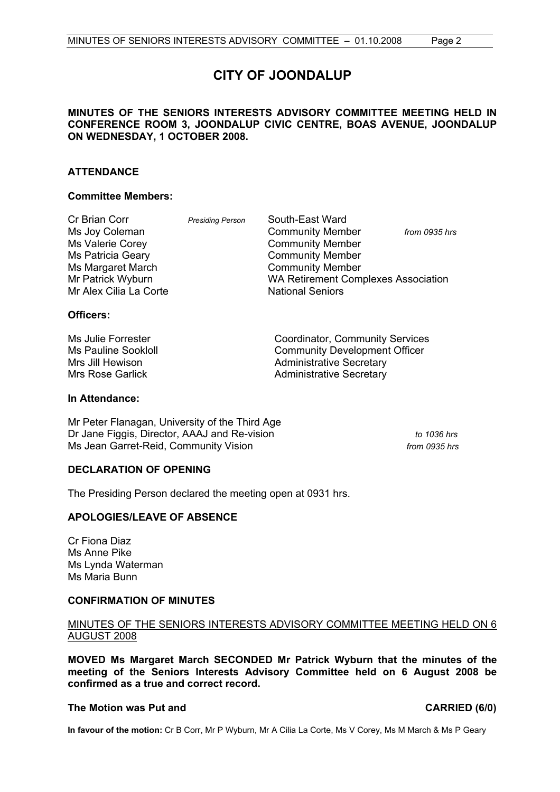# **CITY OF JOONDALUP**

#### **MINUTES OF THE SENIORS INTERESTS ADVISORY COMMITTEE MEETING HELD IN CONFERENCE ROOM 3, JOONDALUP CIVIC CENTRE, BOAS AVENUE, JOONDALUP ON WEDNESDAY, 1 OCTOBER 2008.**

#### **ATTENDANCE**

#### **Committee Members:**

| Cr Brian Corr          | <b>Presiding Person</b> | South-East Ward                            |               |
|------------------------|-------------------------|--------------------------------------------|---------------|
| Ms Joy Coleman         |                         | <b>Community Member</b>                    | from 0935 hrs |
| Ms Valerie Corey       |                         | <b>Community Member</b>                    |               |
| Ms Patricia Geary      |                         | <b>Community Member</b>                    |               |
| Ms Margaret March      |                         | <b>Community Member</b>                    |               |
| Mr Patrick Wyburn      |                         | <b>WA Retirement Complexes Association</b> |               |
| Mr Alex Cilia La Corte |                         | <b>National Seniors</b>                    |               |
|                        |                         |                                            |               |

#### **Officers:**

| Ms Julie Forrester         | <b>Coordinator, Community Services</b> |
|----------------------------|----------------------------------------|
| <b>Ms Pauline Sookloll</b> | <b>Community Development Officer</b>   |
| Mrs Jill Hewison           | <b>Administrative Secretary</b>        |
| Mrs Rose Garlick           | <b>Administrative Secretary</b>        |

#### **In Attendance:**

Mr Peter Flanagan, University of the Third Age Dr Jane Figgis, Director, AAAJ and Re-vision *to 1036 hrs* Ms Jean Garret-Reid, Community Vision *from 0935 hrs from 0935 hrs* 

### **DECLARATION OF OPENING**

The Presiding Person declared the meeting open at 0931 hrs.

#### **APOLOGIES/LEAVE OF ABSENCE**

Cr Fiona Diaz Ms Anne Pike Ms Lynda Waterman Ms Maria Bunn

#### **CONFIRMATION OF MINUTES**

#### MINUTES OF THE SENIORS INTERESTS ADVISORY COMMITTEE MEETING HELD ON 6 AUGUST 2008

**MOVED Ms Margaret March SECONDED Mr Patrick Wyburn that the minutes of the meeting of the Seniors Interests Advisory Committee held on 6 August 2008 be confirmed as a true and correct record.** 

#### **The Motion was Put and CARRIED (6/0) CARRIED (6/0)**

**In favour of the motion:** Cr B Corr, Mr P Wyburn, Mr A Cilia La Corte, Ms V Corey, Ms M March & Ms P Geary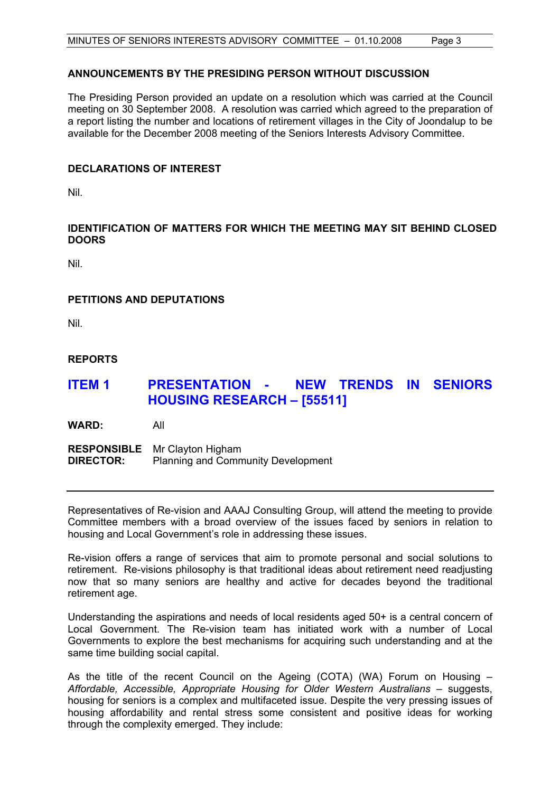#### **ANNOUNCEMENTS BY THE PRESIDING PERSON WITHOUT DISCUSSION**

The Presiding Person provided an update on a resolution which was carried at the Council meeting on 30 September 2008. A resolution was carried which agreed to the preparation of a report listing the number and locations of retirement villages in the City of Joondalup to be available for the December 2008 meeting of the Seniors Interests Advisory Committee.

#### **DECLARATIONS OF INTEREST**

Nil.

### **IDENTIFICATION OF MATTERS FOR WHICH THE MEETING MAY SIT BEHIND CLOSED DOORS**

Nil.

### **PETITIONS AND DEPUTATIONS**

Nil.

### **REPORTS**

# **ITEM 1 PRESENTATION - NEW TRENDS IN SENIORS HOUSING RESEARCH – [55511]**

**WARD:** All

**RESPONSIBLE** Mr Clayton Higham<br>**DIRECTOR:** Planning and Comm **Planning and Community Development** 

Representatives of Re-vision and AAAJ Consulting Group, will attend the meeting to provide Committee members with a broad overview of the issues faced by seniors in relation to housing and Local Government's role in addressing these issues.

Re-vision offers a range of services that aim to promote personal and social solutions to retirement. Re-visions philosophy is that traditional ideas about retirement need readjusting now that so many seniors are healthy and active for decades beyond the traditional retirement age.

Understanding the aspirations and needs of local residents aged 50+ is a central concern of Local Government. The Re-vision team has initiated work with a number of Local Governments to explore the best mechanisms for acquiring such understanding and at the same time building social capital.

As the title of the recent Council on the Ageing (COTA) (WA) Forum on Housing – *Affordable, Accessible, Appropriate Housing for Older Western Australians* – suggests, housing for seniors is a complex and multifaceted issue. Despite the very pressing issues of housing affordability and rental stress some consistent and positive ideas for working through the complexity emerged. They include: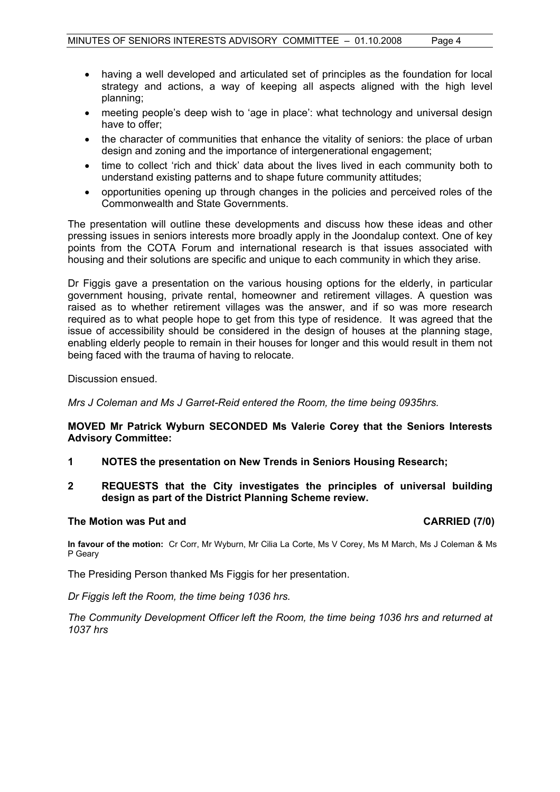- having a well developed and articulated set of principles as the foundation for local strategy and actions, a way of keeping all aspects aligned with the high level planning;
- meeting people's deep wish to 'age in place': what technology and universal design have to offer;
- the character of communities that enhance the vitality of seniors: the place of urban design and zoning and the importance of intergenerational engagement;
- time to collect 'rich and thick' data about the lives lived in each community both to understand existing patterns and to shape future community attitudes;
- opportunities opening up through changes in the policies and perceived roles of the Commonwealth and State Governments.

The presentation will outline these developments and discuss how these ideas and other pressing issues in seniors interests more broadly apply in the Joondalup context. One of key points from the COTA Forum and international research is that issues associated with housing and their solutions are specific and unique to each community in which they arise.

Dr Figgis gave a presentation on the various housing options for the elderly, in particular government housing, private rental, homeowner and retirement villages. A question was raised as to whether retirement villages was the answer, and if so was more research required as to what people hope to get from this type of residence. It was agreed that the issue of accessibility should be considered in the design of houses at the planning stage, enabling elderly people to remain in their houses for longer and this would result in them not being faced with the trauma of having to relocate.

Discussion ensued.

*Mrs J Coleman and Ms J Garret-Reid entered the Room, the time being 0935hrs.* 

#### **MOVED Mr Patrick Wyburn SECONDED Ms Valerie Corey that the Seniors Interests Advisory Committee:**

- **1 NOTES the presentation on New Trends in Seniors Housing Research;**
- **2 REQUESTS that the City investigates the principles of universal building design as part of the District Planning Scheme review.**

#### **The Motion was Put and CARRIED (7/0) CARRIED (7/0)**

**In favour of the motion:** Cr Corr, Mr Wyburn, Mr Cilia La Corte, Ms V Corey, Ms M March, Ms J Coleman & Ms P Geary

The Presiding Person thanked Ms Figgis for her presentation.

*Dr Figgis left the Room, the time being 1036 hrs.* 

*The Community Development Officer left the Room, the time being 1036 hrs and returned at 1037 hrs*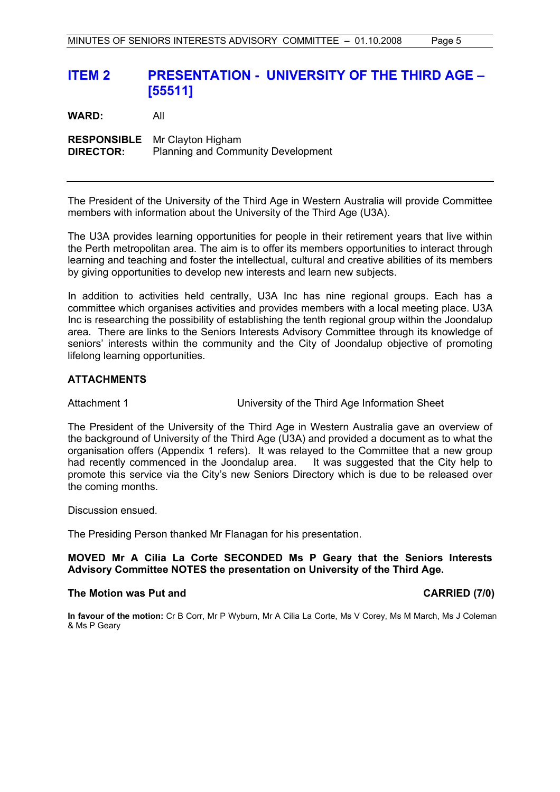# **ITEM 2 PRESENTATION - UNIVERSITY OF THE THIRD AGE – [55511]**

**WARD:** All **RESPONSIBLE** Mr Clayton Higham **DIRECTOR:** Planning and Community Development

The President of the University of the Third Age in Western Australia will provide Committee members with information about the University of the Third Age (U3A).

The U3A provides learning opportunities for people in their retirement years that live within the Perth metropolitan area. The aim is to offer its members opportunities to interact through learning and teaching and foster the intellectual, cultural and creative abilities of its members by giving opportunities to develop new interests and learn new subjects.

In addition to activities held centrally, U3A Inc has nine regional groups. Each has a committee which organises activities and provides members with a local meeting place. U3A Inc is researching the possibility of establishing the tenth regional group within the Joondalup area. There are links to the Seniors Interests Advisory Committee through its knowledge of seniors' interests within the community and the City of Joondalup objective of promoting lifelong learning opportunities.

#### **ATTACHMENTS**

Attachment 1 University of the Third Age Information Sheet

The President of the University of the Third Age in Western Australia gave an overview of the background of University of the Third Age (U3A) and provided a document as to what the organisation offers (Appendix 1 refers). It was relayed to the Committee that a new group had recently commenced in the Joondalup area. It was suggested that the City help to promote this service via the City's new Seniors Directory which is due to be released over the coming months.

Discussion ensued.

The Presiding Person thanked Mr Flanagan for his presentation.

#### **MOVED Mr A Cilia La Corte SECONDED Ms P Geary that the Seniors Interests Advisory Committee NOTES the presentation on University of the Third Age.**

#### **The Motion was Put and CARRIED (7/0) CARRIED (7/0)**

**In favour of the motion:** Cr B Corr, Mr P Wyburn, Mr A Cilia La Corte, Ms V Corey, Ms M March, Ms J Coleman & Ms P Geary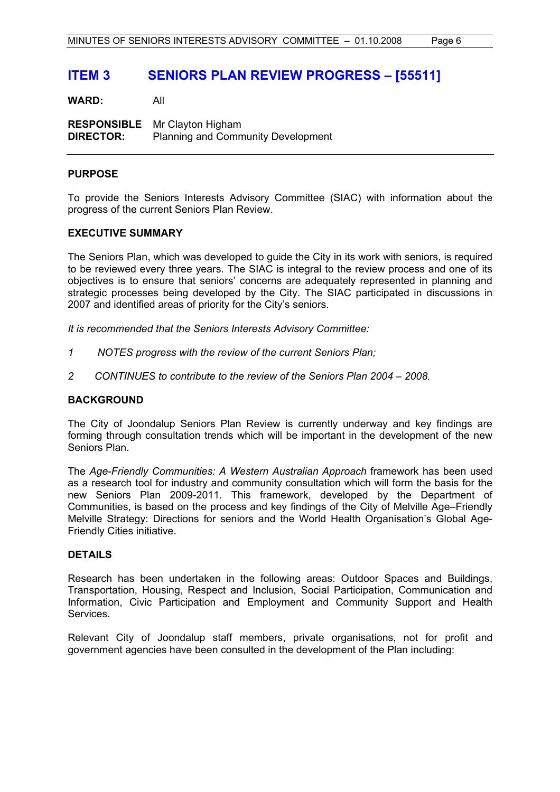# **ITEM 3 SENIORS PLAN REVIEW PROGRESS – [55511]**

**WARD:** All

**RESPONSIBLE** Mr Clayton Higham **DIRECTOR:** Planning and Community Development

#### **PURPOSE**

To provide the Seniors Interests Advisory Committee (SIAC) with information about the progress of the current Seniors Plan Review.

#### **EXECUTIVE SUMMARY**

The Seniors Plan, which was developed to guide the City in its work with seniors, is required to be reviewed every three years. The SIAC is integral to the review process and one of its objectives is to ensure that seniors' concerns are adequately represented in planning and strategic processes being developed by the City. The SIAC participated in discussions in 2007 and identified areas of priority for the City's seniors.

*It is recommended that the Seniors Interests Advisory Committee:*

- *1 NOTES progress with the review of the current Seniors Plan;*
- *2 CONTINUES to contribute to the review of the Seniors Plan 2004 2008.*

#### **BACKGROUND**

The City of Joondalup Seniors Plan Review is currently underway and key findings are forming through consultation trends which will be important in the development of the new Seniors Plan.

The *Age-Friendly Communities: A Western Australian Approach* framework has been used as a research tool for industry and community consultation which will form the basis for the new Seniors Plan 2009-2011. This framework, developed by the Department of Communities, is based on the process and key findings of the City of Melville Age–Friendly Melville Strategy: Directions for seniors and the World Health Organisation's Global Age-Friendly Cities initiative.

#### **DETAILS**

Research has been undertaken in the following areas: Outdoor Spaces and Buildings, Transportation, Housing, Respect and Inclusion, Social Participation, Communication and Information, Civic Participation and Employment and Community Support and Health Services.

Relevant City of Joondalup staff members, private organisations, not for profit and government agencies have been consulted in the development of the Plan including: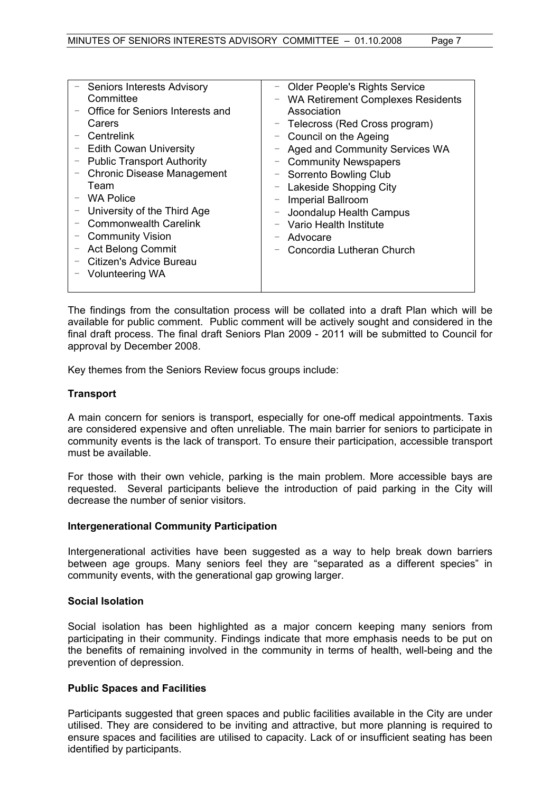The findings from the consultation process will be collated into a draft Plan which will be available for public comment. Public comment will be actively sought and considered in the final draft process. The final draft Seniors Plan 2009 - 2011 will be submitted to Council for approval by December 2008.

Key themes from the Seniors Review focus groups include:

#### **Transport**

A main concern for seniors is transport, especially for one-off medical appointments. Taxis are considered expensive and often unreliable. The main barrier for seniors to participate in community events is the lack of transport. To ensure their participation, accessible transport must be available.

For those with their own vehicle, parking is the main problem. More accessible bays are requested. Several participants believe the introduction of paid parking in the City will decrease the number of senior visitors.

#### **Intergenerational Community Participation**

Intergenerational activities have been suggested as a way to help break down barriers between age groups. Many seniors feel they are "separated as a different species" in community events, with the generational gap growing larger.

#### **Social Isolation**

Social isolation has been highlighted as a major concern keeping many seniors from participating in their community. Findings indicate that more emphasis needs to be put on the benefits of remaining involved in the community in terms of health, well-being and the prevention of depression.

### **Public Spaces and Facilities**

Participants suggested that green spaces and public facilities available in the City are under utilised. They are considered to be inviting and attractive, but more planning is required to ensure spaces and facilities are utilised to capacity. Lack of or insufficient seating has been identified by participants.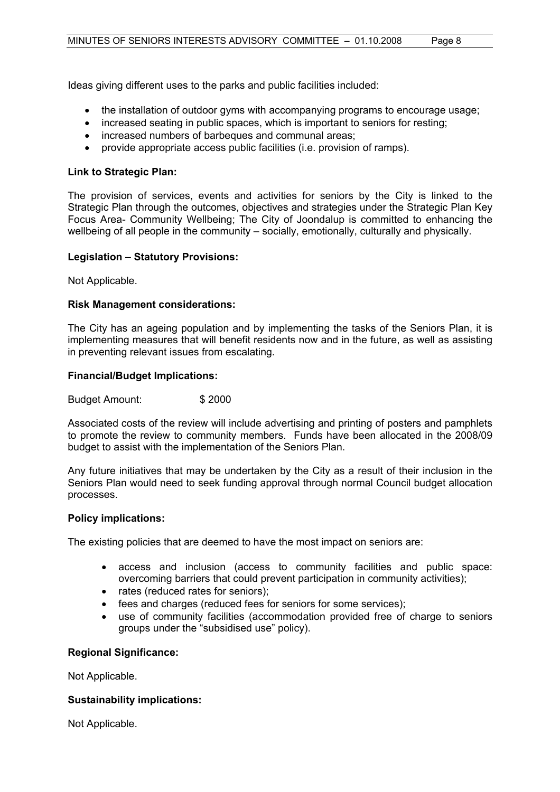Ideas giving different uses to the parks and public facilities included:

- the installation of outdoor gyms with accompanying programs to encourage usage;
- increased seating in public spaces, which is important to seniors for resting;
- increased numbers of barbeques and communal areas;
- provide appropriate access public facilities (i.e. provision of ramps).

#### **Link to Strategic Plan:**

The provision of services, events and activities for seniors by the City is linked to the Strategic Plan through the outcomes, objectives and strategies under the Strategic Plan Key Focus Area- Community Wellbeing; The City of Joondalup is committed to enhancing the wellbeing of all people in the community – socially, emotionally, culturally and physically.

#### **Legislation – Statutory Provisions:**

Not Applicable.

#### **Risk Management considerations:**

The City has an ageing population and by implementing the tasks of the Seniors Plan, it is implementing measures that will benefit residents now and in the future, as well as assisting in preventing relevant issues from escalating.

#### **Financial/Budget Implications:**

Budget Amount: \$ 2000

Associated costs of the review will include advertising and printing of posters and pamphlets to promote the review to community members. Funds have been allocated in the 2008/09 budget to assist with the implementation of the Seniors Plan.

Any future initiatives that may be undertaken by the City as a result of their inclusion in the Seniors Plan would need to seek funding approval through normal Council budget allocation processes.

#### **Policy implications:**

The existing policies that are deemed to have the most impact on seniors are:

- access and inclusion (access to community facilities and public space: overcoming barriers that could prevent participation in community activities);
- rates (reduced rates for seniors);
- fees and charges (reduced fees for seniors for some services):
- use of community facilities (accommodation provided free of charge to seniors groups under the "subsidised use" policy).

#### **Regional Significance:**

Not Applicable.

#### **Sustainability implications:**

Not Applicable.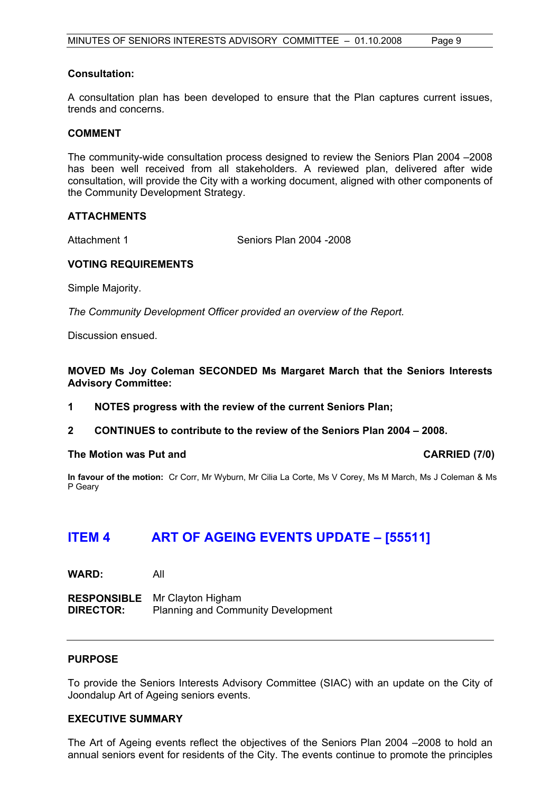#### **Consultation:**

A consultation plan has been developed to ensure that the Plan captures current issues, trends and concerns.

#### **COMMENT**

The community-wide consultation process designed to review the Seniors Plan 2004 –2008 has been well received from all stakeholders. A reviewed plan, delivered after wide consultation, will provide the City with a working document, aligned with other components of the Community Development Strategy.

#### **ATTACHMENTS**

Attachment 1 Seniors Plan 2004 - 2008

#### **VOTING REQUIREMENTS**

Simple Majority.

*The Community Development Officer provided an overview of the Report.* 

Discussion ensued.

**MOVED Ms Joy Coleman SECONDED Ms Margaret March that the Seniors Interests Advisory Committee:** 

- **1 NOTES progress with the review of the current Seniors Plan;**
- **2 CONTINUES to contribute to the review of the Seniors Plan 2004 2008.**

#### The Motion was Put and **CARRIED** (7/0)

**In favour of the motion:** Cr Corr, Mr Wyburn, Mr Cilia La Corte, Ms V Corey, Ms M March, Ms J Coleman & Ms P Geary

# **ITEM 4 ART OF AGEING EVENTS UPDATE – [55511]**

**WARD:** All

**RESPONSIBLE** Mr Clayton Higham **DIRECTOR:** Planning and Community Development

#### **PURPOSE**

To provide the Seniors Interests Advisory Committee (SIAC) with an update on the City of Joondalup Art of Ageing seniors events.

#### **EXECUTIVE SUMMARY**

The Art of Ageing events reflect the objectives of the Seniors Plan 2004 –2008 to hold an annual seniors event for residents of the City. The events continue to promote the principles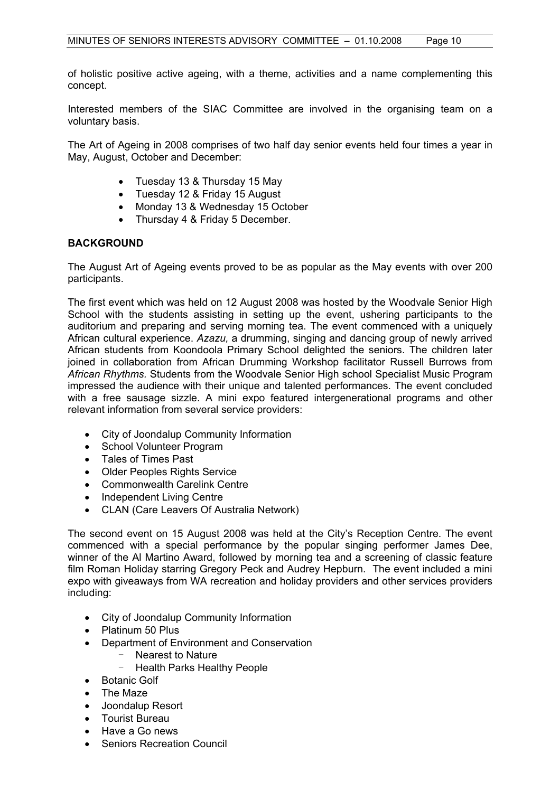of holistic positive active ageing, with a theme, activities and a name complementing this concept.

Interested members of the SIAC Committee are involved in the organising team on a voluntary basis.

The Art of Ageing in 2008 comprises of two half day senior events held four times a year in May, August, October and December:

- Tuesday 13 & Thursday 15 May
- Tuesday 12 & Friday 15 August
- Monday 13 & Wednesday 15 October
- Thursday 4 & Friday 5 December.

#### **BACKGROUND**

The August Art of Ageing events proved to be as popular as the May events with over 200 participants.

The first event which was held on 12 August 2008 was hosted by the Woodvale Senior High School with the students assisting in setting up the event, ushering participants to the auditorium and preparing and serving morning tea. The event commenced with a uniquely African cultural experience. *Azazu,* a drumming, singing and dancing group of newly arrived African students from Koondoola Primary School delighted the seniors. The children later ioined in collaboration from African Drumming Workshop facilitator Russell Burrows from *African Rhythms.* Students from the Woodvale Senior High school Specialist Music Program impressed the audience with their unique and talented performances. The event concluded with a free sausage sizzle. A mini expo featured intergenerational programs and other relevant information from several service providers:

- City of Joondalup Community Information
- School Volunteer Program
- Tales of Times Past
- Older Peoples Rights Service
- Commonwealth Carelink Centre
- Independent Living Centre
- CLAN (Care Leavers Of Australia Network)

The second event on 15 August 2008 was held at the City's Reception Centre. The event commenced with a special performance by the popular singing performer James Dee, winner of the Al Martino Award, followed by morning tea and a screening of classic feature film Roman Holiday starring Gregory Peck and Audrey Hepburn. The event included a mini expo with giveaways from WA recreation and holiday providers and other services providers including:

- City of Joondalup Community Information
- Platinum 50 Plus
- Department of Environment and Conservation
	- Nearest to Nature
		- Health Parks Healthy People
- Botanic Golf
- The Maze
- Joondalup Resort
- Tourist Bureau
- Have a Go news
- Seniors Recreation Council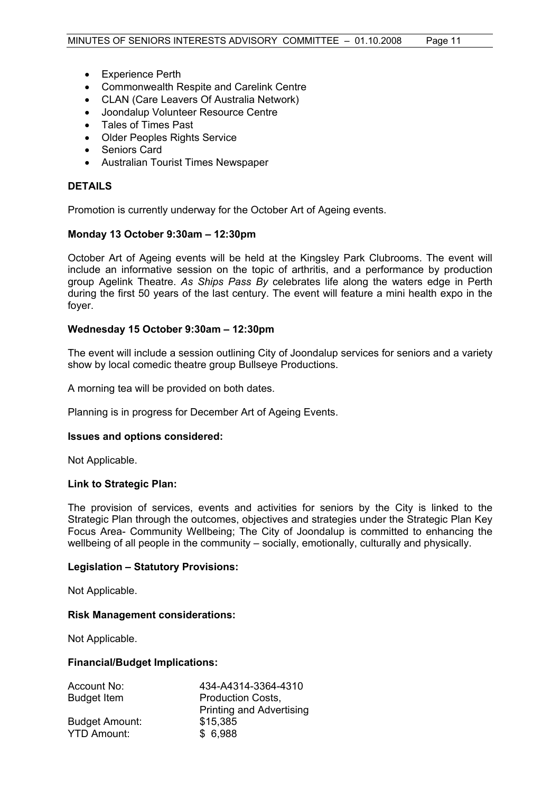- Experience Perth
- Commonwealth Respite and Carelink Centre
- CLAN (Care Leavers Of Australia Network)
- Joondalup Volunteer Resource Centre
- Tales of Times Past
- Older Peoples Rights Service
- Seniors Card
- Australian Tourist Times Newspaper

#### **DETAILS**

Promotion is currently underway for the October Art of Ageing events.

#### **Monday 13 October 9:30am – 12:30pm**

October Art of Ageing events will be held at the Kingsley Park Clubrooms. The event will include an informative session on the topic of arthritis, and a performance by production group Agelink Theatre. *As Ships Pass By* celebrates life along the waters edge in Perth during the first 50 years of the last century. The event will feature a mini health expo in the foyer.

#### **Wednesday 15 October 9:30am – 12:30pm**

The event will include a session outlining City of Joondalup services for seniors and a variety show by local comedic theatre group Bullseye Productions.

A morning tea will be provided on both dates.

Planning is in progress for December Art of Ageing Events.

#### **Issues and options considered:**

Not Applicable.

#### **Link to Strategic Plan:**

The provision of services, events and activities for seniors by the City is linked to the Strategic Plan through the outcomes, objectives and strategies under the Strategic Plan Key Focus Area- Community Wellbeing; The City of Joondalup is committed to enhancing the wellbeing of all people in the community – socially, emotionally, culturally and physically.

#### **Legislation – Statutory Provisions:**

Not Applicable.

#### **Risk Management considerations:**

Not Applicable.

#### **Financial/Budget Implications:**

| Account No:           | 434-A4314-3364-4310             |
|-----------------------|---------------------------------|
| <b>Budget Item</b>    | <b>Production Costs,</b>        |
|                       | <b>Printing and Advertising</b> |
| <b>Budget Amount:</b> | \$15,385                        |
| <b>YTD Amount:</b>    | \$6,988                         |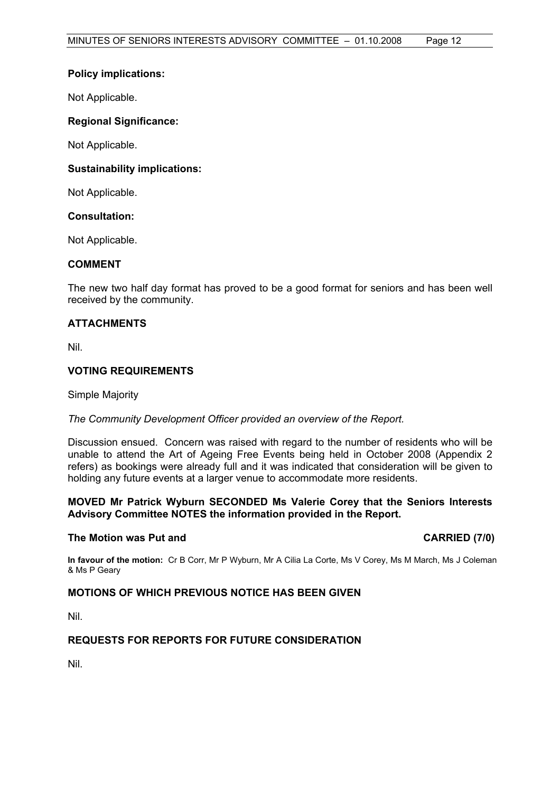#### **Policy implications:**

Not Applicable.

#### **Regional Significance:**

Not Applicable.

#### **Sustainability implications:**

Not Applicable.

#### **Consultation:**

Not Applicable.

#### **COMMENT**

The new two half day format has proved to be a good format for seniors and has been well received by the community.

#### **ATTACHMENTS**

Nil.

#### **VOTING REQUIREMENTS**

Simple Majority

#### *The Community Development Officer provided an overview of the Report.*

Discussion ensued. Concern was raised with regard to the number of residents who will be unable to attend the Art of Ageing Free Events being held in October 2008 (Appendix 2 refers) as bookings were already full and it was indicated that consideration will be given to holding any future events at a larger venue to accommodate more residents.

#### **MOVED Mr Patrick Wyburn SECONDED Ms Valerie Corey that the Seniors Interests Advisory Committee NOTES the information provided in the Report.**

#### **The Motion was Put and CARRIED (7/0) CARRIED (7/0)**

**In favour of the motion:** Cr B Corr, Mr P Wyburn, Mr A Cilia La Corte, Ms V Corey, Ms M March, Ms J Coleman & Ms P Geary

### **MOTIONS OF WHICH PREVIOUS NOTICE HAS BEEN GIVEN**

Nil.

### **REQUESTS FOR REPORTS FOR FUTURE CONSIDERATION**

Nil.